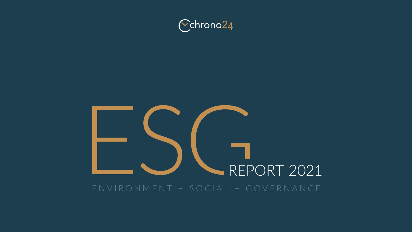

# ENVIRONMENT - SOCIAL - GOVERNANCE ENVIRONMENT – SOCIAL – GOVERNANCE

### Cchrono24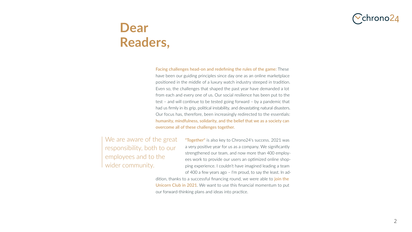### **Dear Readers,**

Facing challenges head-on and redefining the rules of the game: These have been our guiding principles since day one as an online marketplace positioned in the middle of a luxury watch industry steeped in tradition. Even so, the challenges that shaped the past year have demanded a lot from each and every one of us. Our social resilience has been put to the test – and will continue to be tested going forward – by a pandemic that had us firmly in its grip, political instability, and devastating natural disasters. Our focus has, therefore, been increasingly redirected to the essentials: humanity, mindfulness, solidarity, and the belief that we as a society can overcome all of these challenges together.

We are aware of the great responsibility, both to our employees and to the wider community.

"Together" is also key to Chrono24's success. 2021 was

a very positive year for us as a company. We significantly strengthened our team, and now more than 400 employees work to provide our users an optimized online shopping experience. I couldn't have imagined leading a team of 400 a few years ago – I'm proud, to say the least. In addition, thanks to a successful financing round, we were able to *join the* Unicorn Club in 2021. We want to use this financial momentum to put our forward-thinking plans and ideas into practice.



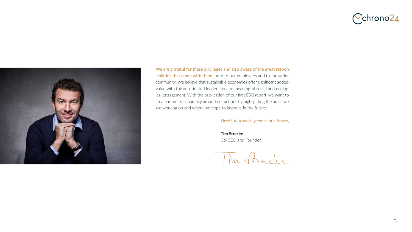



We are grateful for these privileges and also aware of the great responsibilities that come with them, both to our employees and to the wider community. We believe that sustainable economies offer significant addedvalue with future-oriented leadership and meaningful social and ecological engagement. With the publication of our first ESG report, we want to create more transparency around our actions by highlighting the areas we are working on and where we hope to improve in the future.



#### Here's to a socially conscious future,

 **Tim Stracke** Co-CEO and Founder

Tim Shadee

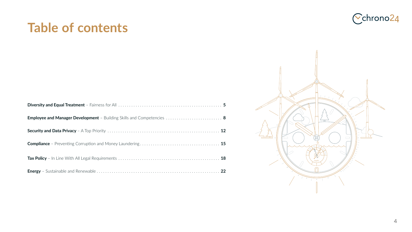### **Table of contents**

| <b>Employee and Manager Development</b> - Building Skills and Competencies |
|----------------------------------------------------------------------------|
|                                                                            |
| <b>Compliance</b> - Preventing Corruption and Money Laundering             |
|                                                                            |
|                                                                            |





**biva biva Equation 2 [Employee and Manager Development](#page-7-0)** – Building Skills and Competencies **8 Security and Data Private 2 Compliance** [– Preventing Corruption and Money Laundering](#page-14-0) **[1](#page-14-0)5 Tax Policy All Legal Requirements 18 Energy – Sustainable 22** 

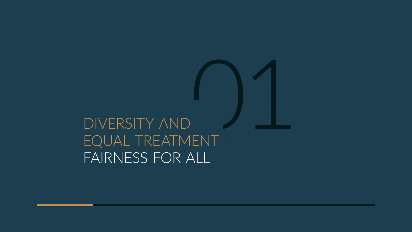<span id="page-4-0"></span>DIVERSITY AND EQUAL TREATMENT -FAIRNESS FOR ALL

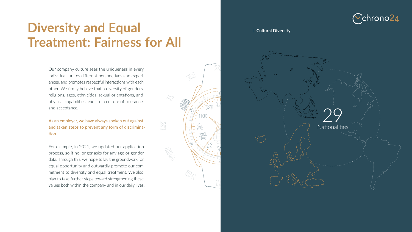Our company culture sees the uniqueness in every individual, unites different perspectives and experiences, and promotes respectful interactions with each other. We firmly believe that a diversity of genders, religions, ages, ethnicities, sexual orientations, and physical capabilities leads to a culture of tolerance and acceptance.

As an employer, we have always spoken out against and taken steps to prevent any form of discrimination.

For example, in 2021, we updated our application process, so it no longer asks for any age or gender data. Through this, we hope to lay the groundwork for equal opportunity and outwardly promote our commitment to diversity and equal treatment. We also plan to take further steps toward strengthening these values both within the company and in our daily lives.



### **Diversity and Equal Treatment: Fairness for All**

#### **Cultural Diversity**



IXX





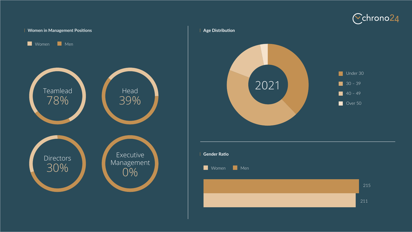



### **Age Distribution**





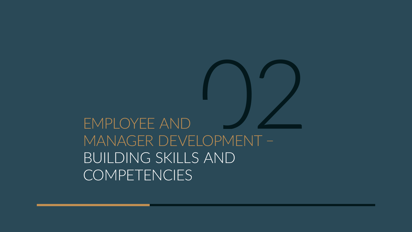<span id="page-7-0"></span>

# EMPLOYEE AND BUILDING SKILLS AND COMPETENCIES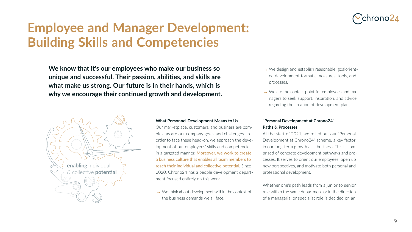

#### **What Personnel Development Means to Us**

Our marketplace, customers, and business are complex, as are our company goals and challenges. In order to face these head-on, we approach the development of our employees' skills and competencies in a targeted manner. Moreover, we work to create a business culture that enables all team members to reach their individual and collective potential. Since 2020, Chrono24 has a people development department focused entirely on this work.

 $\rightarrow$  We think about development within the context of the business demands we all face.



- $\rightarrow$  We design and establish reasonable, goaloriented development formats, measures, tools, and processes.
- $\rightarrow$  We are the contact point for employees and managers to seek support, inspiration, and advice regarding the creation of development plans.

## **Employee and Manager Development: Building Skills and Competencies**

### **"Personal Development at Chrono24" – Paths & Processes**

At the start of 2021, we rolled out our "Personal Development at Chrono24" scheme, a key factor in our long-term growth as a business. This is comprised of concrete development pathways and processes. It serves to orient our employees, open up new perspectives, and motivate both personal and professional development.

Whether one's path leads from a junior to senior role within the same department or in the direction of a managerial or specialist role is decided on an



**We know that it's our employees who make our business so unique and successful. Their passion, abilities, and skills are what make us strong. Our future is in their hands, which is why we encourage their continued growth and development.** 

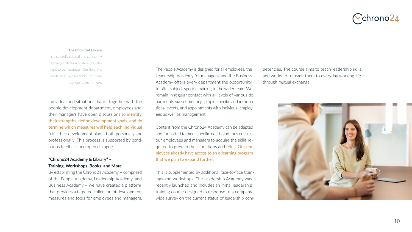

The People Academy is designed for all employees, the Leadership Academy for managers, and the Business Academy offers every department the opportunity to offer subject-specific training to the wider team. We remain in regular contact with all levels of various departments via set meetings, topic-specific and informational events, and appointments with individual employees as well as management.

Content from the Chrono24 Academy can be adapted and formatted to meet specific needs and thus enables our employees and managers to acquire the skills required to grow in their functions and roles. Our employees already have access to an e-learning program that we plan to expand further.

This is supplemented by additional face-to-face trainings and workshops. The Leadership Academy was recently launched and includes an initial leadership training course designed in response to a companywide survey on the current status of leadership com-

### Cchrono24

#### **The Chrono24 Library**

is a carefully curated and constantly growing collection of literature relevant to our business. Our library is available at two locations for those curious to learn more.

petencies. The course aims to teach leadership skills and works to transmit them to everyday working life through mutual exchange.





individual and situational basis. Together with the people development department, employees and their managers have open discussions to identify their strengths, define development goals, and determine which measures will help each individual fulfill their development plan – both personally and professionally. This process is supported by continuous feedback and open dialogue.

#### **"Chrono24 Academy & Library" – Training, Workshops, Books, and More**

By establishing the Chrono24 Academy – comprised of the People Academy, Leadership Academy, and Business Academy – we have created a platform that provides a targeted collection of development measures and tools for employees and managers.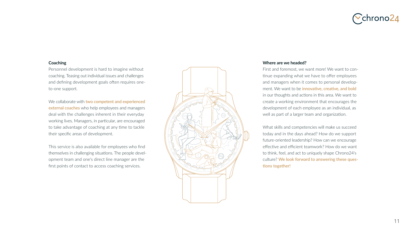#### **Coaching**

Personnel development is hard to imagine without coaching. Teasing out individual issues and challenges and defining development goals often requires oneto-one support.

We collaborate with two competent and experienced external coaches who help employees and managers deal with the challenges inherent in their everyday working lives. Managers, in particular, are encouraged to take advantage of coaching at any time to tackle their specific areas of development.

This service is also available for employees who find themselves in challenging situations. The people development team and one's direct line manager are the first points of contact to access coaching services.





#### **Where are we headed?**

First and foremost, we want more! We want to continue expanding what we have to offer employees and managers when it comes to personal development. We want to be *innovative*, creative, and bold in our thoughts and actions in this area. We want to create a working environment that encourages the development of each employee as an individual, as well as part of a larger team and organization.

What skills and competencies will make us succeed today and in the days ahead? How do we support future-oriented leadership? How can we encourage effective and efficient teamwork? How do we want to think, feel, and act to uniquely shape Chrono24's culture? We look forward to answering these questions together!

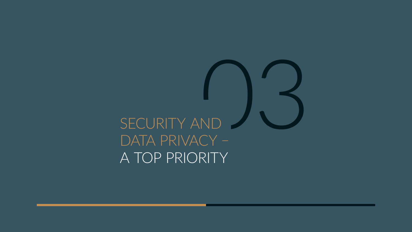# <span id="page-11-0"></span>SECURITY AND DATA PRIVACY -A TOP PRIORITY

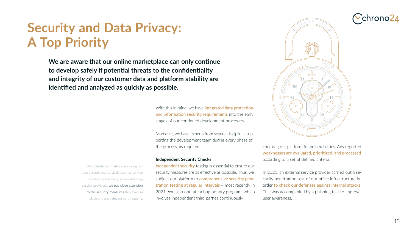### **Security and Data Privacy: A Top Priority**

With this in mind, we have **integrated data protection** and information security requirements into the early stages of our continued development processes.

**Independent Security Checks** Independent security testing is essential to ensure our security measures are as effective as possible. Thus, we subject our platform to comprehensive security penetration testing at regular intervals - most recently in 2021. We also operate a bug bounty program, which place and any relevant certifications.  $\Box$  involves independent third parties continuously



Moreover, we have experts from several disciplines supporting the development team during every phase of the process, as required.

We operate our marketplace using our own servers located at datacenter service providers in Germany. When selecting service providers, **we pay close attention to the security measures** they have in checking our platform for vulnerabilities. Any reported weaknesses are evaluated, prioritized, and processed according to a set of defined criteria.

In 2021, an external service provider carried out a security penetration test of our office infrastructure in order to check our defenses against internal attacks. This was accompanied by a phishing test to improve user awareness.



**We are aware that our online marketplace can only continue to develop safely if potential threats to the confidentiality and integrity of our customer data and platform stability are identified and analyzed as quickly as possible.**

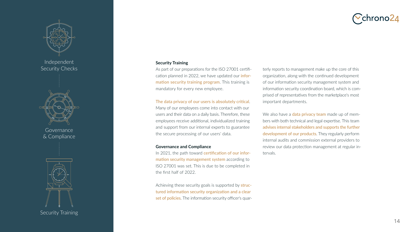### **Security Training**

As part of our preparations for the ISO 27001 certification planned in 2022, we have updated our *infor*mation security training program. This training is mandatory for every new employee.

In 2021, the path toward certification of our information security management system according to ISO 27001 was set. This is due to be completed in the first half of 2022.

Achieving these security goals is supported by **struc**tured information security organization and a clear set of policies. The information security officer's quar-

### Cchrono24

The data privacy of our users is absolutely critical. Many of our employees come into contact with our users and their data on a daily basis. Therefore, these employees receive additional, individualized training and support from our internal experts to guarantee the secure processing of our users' data.

#### **Governance and Compliance**

We also have a **data privacy team** made up of members with both technical and legal expertise. This team advises internal stakeholders and supports the further development of our products. They regularly perform internal audits and commission external providers to review our data protection management at regular intervals.



terly reports to management make up the core of this organization, along with the continued development of our information security management system and information security coordination board, which is comprised of representatives from the marketplace's most important departments.



Security Training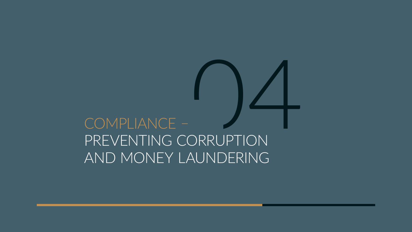<span id="page-14-0"></span>COMPLIANCE – COMPLIANCE –<br>PREVENTING CORRUPTION AND MONEY LAUNDERING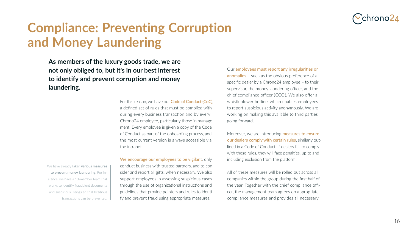

### **Compliance: Preventing Corruption and Money Laundering**

Our employees must report any irregularities or anomalies - such as the obvious preference of a specific dealer by a Chrono24 employee – to their supervisor, the money laundering officer, and the chief compliance officer (CCO). We also offer a whistleblower hotline, which enables employees to report suspicious activity anonymously. We are working on making this available to third parties going forward.

Moreover, we are introducing **measures to ensure** our dealers comply with certain rules, similarly outlined in a Code of Conduct. If dealers fail to comply with these rules, they will face penalties, up to and including exclusion from the platform.

For this reason, we have our **Code of Conduct (CoC)**, a defined set of rules that must be complied with during every business transaction and by every Chrono24 employee, particularly those in management. Every employee is given a copy of the Code of Conduct as part of the onboarding process, and the most current version is always accessible via the intranet.

We encourage our employees to be vigilant, only conduct business with trusted partners, and to consider and report all gifts, when necessary. We also support employees in assessing suspicious cases through the use of organizational instructions and guidelines that provide pointers and rules to identi fy and prevent fraud using appropriate measures.



All of these measures will be rolled out across all companies within the group during the first half of the year. Together with the chief compliance officer, the management team agrees on appropriate compliance measures and provides all necessary



**As members of the luxury goods trade, we are not only obliged to, but it's in our best interest to identify and prevent corruption and money laundering.** 

We have already taken **various measures to prevent money laundering**. For instance, we have a 13-member team that works to identify fraudulent documents and suspicious listings so that fictitious transactions can be prevented.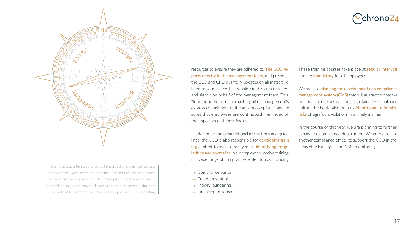resources to ensure they are adhered to. The CCO reports directly to the management team, and provides the CEO and CFO quarterly updates on all matters related to compliance. Every policy in this area is issued and signed on behalf of the management team. This "tone from the top" approach signifies management's express commitment to the area of compliance and ensures that employees are continuously reminded of the importance of these issues.

In addition to the organizational instructions and guidelines, the CCO is also responsible for **developing train**ing content to assist employees in identifying irregularities and anomalies. New employees receive training in a wide range of compliance-related topics, including:

- $\rightarrow$  Compliance basics
- $\rightarrow$  Fraud prevention
- $\rightarrow$  Money laundering
- $\rightarrow$  Financing terrorism

These training courses take place at regular intervals and are **mandatory** for all employees.

We are also planning the development of a compliance management system (CMS) that will guarantee observation of all rules, thus ensuring a sustainable compliance culture. It should also help us *identify and minimize* risks of significant violations in a timely manner.

In the course of this year, we are planning to further expand the compliance department. We intend to hire another compliance officer to support the CCO in the areas of risk analysis and CMS monitoring.













Our fraud prevention team checks all private seller listings and requests photos of each watch set to a specific time. This ensures the listed watch actually exists and is not a fake. The fraud prevention team also carries out similar checks with commercial dealers at random. Anyone who visits the website furthermore has the option of reporting a suspicious listing.

![](_page_16_Picture_3.jpeg)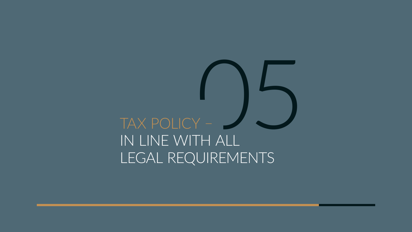# TAX POLICY – IN LINE WITH ALL

<span id="page-17-0"></span>![](_page_17_Picture_1.jpeg)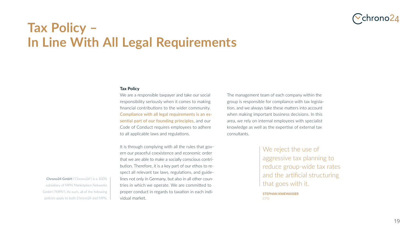![](_page_18_Picture_10.jpeg)

**STEPHAN KNIEWASSER** CFO

![](_page_18_Picture_9.jpeg)

### **Tax Policy – In Line With All Legal Requirements**

#### **Tax Policy**

We are a responsible taxpayer and take our social responsibility seriously when it comes to making financial contributions to the wider community. Compliance with all legal requirements is an essential part of our founding principles, and our Code of Conduct requires employees to adhere to all applicable laws and regulations.

It is through complying with all the rules that govern our peaceful coexistence and economic order that we are able to make a socially conscious contribution. Therefore, it is a key part of our ethos to respect all relevant tax laws, regulations, and guidelines not only in Germany, but also in all other countries in which we operate. We are committed to proper conduct in regards to taxation in each indi-

![](_page_18_Picture_5.jpeg)

We reject the use of aggressive tax planning to reduce group-wide tax rates and the artificial structuring that goes with it.

policies apply to both Chrono24 and MPN.  $\parallel$  vidual market. **Chrono24 GmbH** ("Chrono24") is a 100% subsidiary of MPN Marketplace Networks GmbH ("MPN"). As such, all of the following

The management team of each company within the group is responsible for compliance with tax legislation, and we always take these matters into account when making important business decisions. In this area, we rely on internal employees with specialist knowledge as well as the expertise of external tax consultants.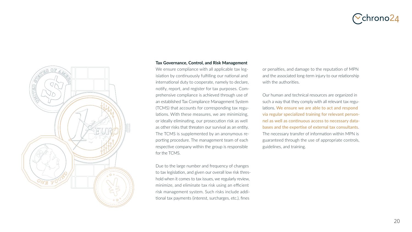![](_page_19_Picture_8.jpeg)

![](_page_19_Picture_0.jpeg)

#### **Tax Governance, Control, and Risk Management**

We ensure compliance with all applicable tax legislation by continuously fulfilling our national and international duty to cooperate, namely to declare, notify, report, and register for tax purposes. Comprehensive compliance is achieved through use of an established Tax Compliance Management System (TCMS) that accounts for corresponding tax regulations. With these measures, we are minimizing, or ideally eliminating, our prosecution risk as well as other risks that threaten our survival as an entity. The TCMS is supplemented by an anonymous reporting procedure. The management team of each respective company within the group is responsible for the TCMS.

or penalties, and damage to the reputation of MPN and the associated long-term injury to our relationship with the authorities.

Due to the large number and frequency of changes to tax legislation, and given our overall low risk threshold when it comes to tax issues, we regularly review, minimize, and eliminate tax risk using an efficient risk management system. Such risks include additional tax payments (interest, surcharges, etc.), fines

### Cchrono24

Our human and technical resources are organized in such a way that they comply with all relevant tax regulations. We ensure we are able to act and respond via regular specialized training for relevant personnel as well as continuous access to necessary databases and the expertise of external tax consultants. The necessary transfer of information within MPN is guaranteed through the use of appropriate controls, guidelines, and training.

![](_page_19_Picture_7.jpeg)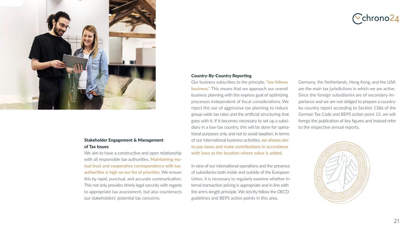![](_page_20_Picture_12.jpeg)

![](_page_20_Picture_0.jpeg)

### **Stakeholder Engagement & Management of Tax Issues**

We aim to have a constructive and open relationship with all responsible tax authorities. Maintaining mutual trust and cooperative correspondence with tax authorities is high on our list of priorities. We ensure this by rapid, punctual, and accurate communication. This not only provides timely legal security with regards to appropriate tax assessment, but also counteracts our stakeholders' potential tax concerns.

![](_page_20_Picture_4.jpeg)

#### **Country-By-Country Reporting**

Our business subscribes to the principle, "tax follows business." This means that we approach our overall business planning with the express goal of optimizing processes independent of fiscal considerations. We reject the use of aggressive tax planning to reduce group-wide tax rates and the artificial structuring that goes with it. If it becomes necessary to set up a subsidiary in a low-tax country, this will be done for operational purposes only and not to avoid taxation. In terms of our international business activities, we always aim to pay taxes and make contributions in accordance with laws at the location where value is added.

In view of our international operations and the presence of subsidiaries both inside and outside of the European Union, it is necessary to regularly examine whether internal transaction pricing is appropriate and in line with the arm's-length principle. We strictly follow the OECD guidelines and BEPS action points in this area.

Germany, the Netherlands, Hong Kong, and the USA are the main tax jurisdictions in which we are active. Since the foreign subsidiaries are of secondary importance and we are not obliged to prepare a countryby-country report according to Section 138a of the German Tax Code and BEPS action point 13, we will forego the publication of key figures and instead refer to the respective annual reports.

![](_page_20_Picture_9.jpeg)

![](_page_20_Picture_10.jpeg)

![](_page_20_Figure_11.jpeg)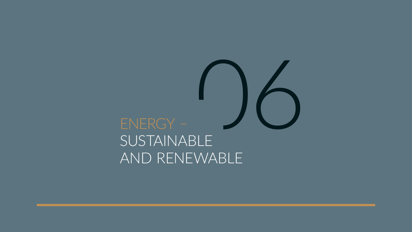# <span id="page-21-0"></span>ENERGY -SUSTAINABLE AND RENEWABLE

![](_page_21_Picture_1.jpeg)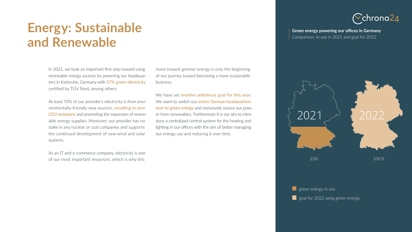### **Green energy powering our [offices in Germany](https://about.chrono24.com)**

![](_page_22_Picture_10.jpeg)

![](_page_22_Picture_11.jpeg)

![](_page_22_Picture_13.jpeg)

Comparison: in use in 2021 and goal for 2022

### **Energy: Sustainable and Renewable**

In 2021, we took an important first step toward using renewable energy sources by powering our headquarters in Karlsruhe, Germany with 57% green electricity certified by TÜV Nord, among others.

At least 70% of our provider's electricity is from environmentally-friendly new sources, resulting in zero CO2 emissions and promoting the expansion of renewable energy supplies. Moreover, our provider has no stake in any nuclear or coal companies and supports the continued development of new wind and solar systems.

We have set another ambitious goal for this year: We want to switch our entire German headquarters over to green energy and exclusively source our power from renewables. Furthermore it is our aim to introduce a centralized control system for the heating and lighting in our offices with the aim of better managing our energy use and reducing it over time.

![](_page_22_Picture_6.jpeg)

As an IT and e-commerce company, electricity is one of our most important resources, which is why this

move toward greener energy is only the beginning of our journey toward becoming a more sustainable

business.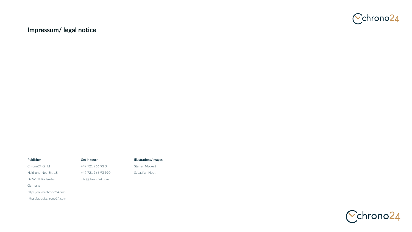### **Impressum/ legal notice**

#### **Publisher**

Chrono24 GmbH Haid-und-Neu-Str. 18 D-76131 Karlsruhe Germany https://www.chrono24.com https://about.chrono24.com

#### **Get in touch**

+49 721 966 93 0 +49 721 966 93 990 info@chrono24.com

#### **Illustrations/Images**

Steffen Mackert Sebastian Heck

![](_page_23_Picture_7.jpeg)

![](_page_23_Picture_8.jpeg)

![](_page_23_Picture_9.jpeg)

![](_page_23_Picture_10.jpeg)